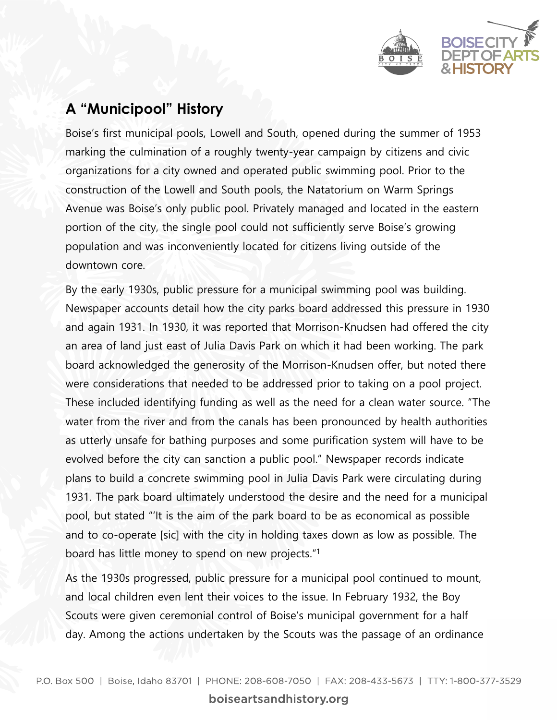

## **A "Municipool" History**

Boise's first municipal pools, Lowell and South, opened during the summer of 1953 marking the culmination of a roughly twenty-year campaign by citizens and civic organizations for a city owned and operated public swimming pool. Prior to the construction of the Lowell and South pools, the Natatorium on Warm Springs Avenue was Boise's only public pool. Privately managed and located in the eastern portion of the city, the single pool could not sufficiently serve Boise's growing population and was inconveniently located for citizens living outside of the downtown core.

By the early 1930s, public pressure for a municipal swimming pool was building. Newspaper accounts detail how the city parks board addressed this pressure in 1930 and again 1931. In 1930, it was reported that Morrison-Knudsen had offered the city an area of land just east of Julia Davis Park on which it had been working. The park board acknowledged the generosity of the Morrison-Knudsen offer, but noted there were considerations that needed to be addressed prior to taking on a pool project. These included identifying funding as well as the need for a clean water source. "The water from the river and from the canals has been pronounced by health authorities as utterly unsafe for bathing purposes and some purification system will have to be evolved before the city can sanction a public pool." Newspaper records indicate plans to build a concrete swimming pool in Julia Davis Park were circulating during 1931. The park board ultimately understood the desire and the need for a municipal pool, but stated "'It is the aim of the park board to be as economical as possible and to co-operate [sic] with the city in holding taxes down as low as possible. The board has little money to spend on new projects." 1

As the 1930s progressed, public pressure for a municipal pool continued to mount, and local children even lent their voices to the issue. In February 1932, the Boy Scouts were given ceremonial control of Boise's municipal government for a half day. Among the actions undertaken by the Scouts was the passage of an ordinance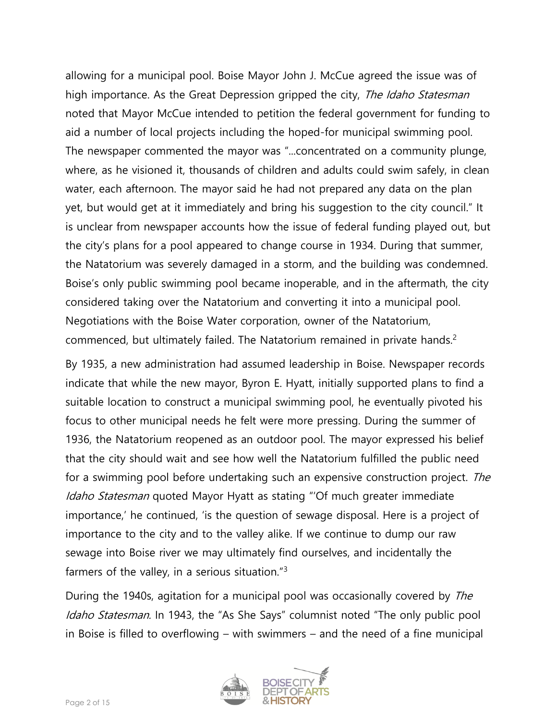allowing for a municipal pool. Boise Mayor John J. McCue agreed the issue was of high importance. As the Great Depression gripped the city, *The Idaho Statesman* noted that Mayor McCue intended to petition the federal government for funding to aid a number of local projects including the hoped-for municipal swimming pool. The newspaper commented the mayor was "...concentrated on a community plunge, where, as he visioned it, thousands of children and adults could swim safely, in clean water, each afternoon. The mayor said he had not prepared any data on the plan yet, but would get at it immediately and bring his suggestion to the city council." It is unclear from newspaper accounts how the issue of federal funding played out, but the city's plans for a pool appeared to change course in 1934. During that summer, the Natatorium was severely damaged in a storm, and the building was condemned. Boise's only public swimming pool became inoperable, and in the aftermath, the city considered taking over the Natatorium and converting it into a municipal pool. Negotiations with the Boise Water corporation, owner of the Natatorium, commenced, but ultimately failed. The Natatorium remained in private hands.<sup>2</sup>

By 1935, a new administration had assumed leadership in Boise. Newspaper records indicate that while the new mayor, Byron E. Hyatt, initially supported plans to find a suitable location to construct a municipal swimming pool, he eventually pivoted his focus to other municipal needs he felt were more pressing. During the summer of 1936, the Natatorium reopened as an outdoor pool. The mayor expressed his belief that the city should wait and see how well the Natatorium fulfilled the public need for a swimming pool before undertaking such an expensive construction project. The Idaho Statesman quoted Mayor Hyatt as stating "'Of much greater immediate importance,' he continued, 'is the question of sewage disposal. Here is a project of importance to the city and to the valley alike. If we continue to dump our raw sewage into Boise river we may ultimately find ourselves, and incidentally the farmers of the valley, in a serious situation."<sup>3</sup>

During the 1940s, agitation for a municipal pool was occasionally covered by *The* Idaho Statesman. In 1943, the "As She Says" columnist noted "The only public pool in Boise is filled to overflowing – with swimmers – and the need of a fine municipal

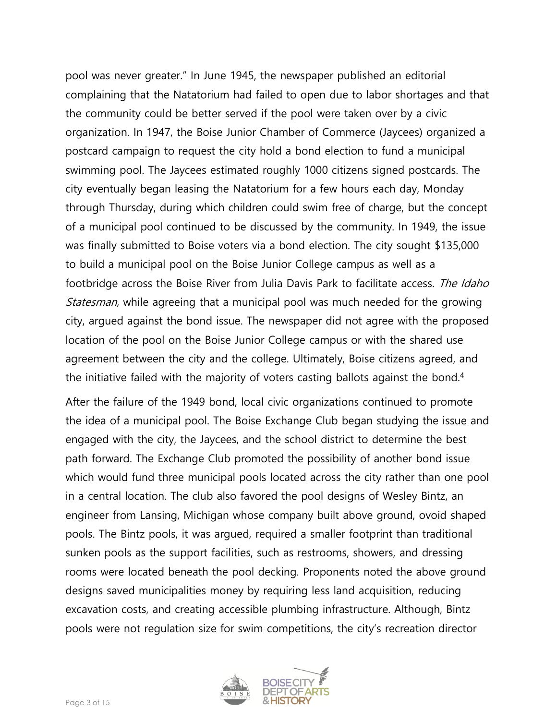pool was never greater." In June 1945, the newspaper published an editorial complaining that the Natatorium had failed to open due to labor shortages and that the community could be better served if the pool were taken over by a civic organization. In 1947, the Boise Junior Chamber of Commerce (Jaycees) organized a postcard campaign to request the city hold a bond election to fund a municipal swimming pool. The Jaycees estimated roughly 1000 citizens signed postcards. The city eventually began leasing the Natatorium for a few hours each day, Monday through Thursday, during which children could swim free of charge, but the concept of a municipal pool continued to be discussed by the community. In 1949, the issue was finally submitted to Boise voters via a bond election. The city sought \$135,000 to build a municipal pool on the Boise Junior College campus as well as a footbridge across the Boise River from Julia Davis Park to facilitate access. The Idaho *Statesman,* while agreeing that a municipal pool was much needed for the growing city, argued against the bond issue. The newspaper did not agree with the proposed location of the pool on the Boise Junior College campus or with the shared use agreement between the city and the college. Ultimately, Boise citizens agreed, and the initiative failed with the majority of voters casting ballots against the bond.<sup>4</sup>

After the failure of the 1949 bond, local civic organizations continued to promote the idea of a municipal pool. The Boise Exchange Club began studying the issue and engaged with the city, the Jaycees, and the school district to determine the best path forward. The Exchange Club promoted the possibility of another bond issue which would fund three municipal pools located across the city rather than one pool in a central location. The club also favored the pool designs of Wesley Bintz, an engineer from Lansing, Michigan whose company built above ground, ovoid shaped pools. The Bintz pools, it was argued, required a smaller footprint than traditional sunken pools as the support facilities, such as restrooms, showers, and dressing rooms were located beneath the pool decking. Proponents noted the above ground designs saved municipalities money by requiring less land acquisition, reducing excavation costs, and creating accessible plumbing infrastructure. Although, Bintz pools were not regulation size for swim competitions, the city's recreation director

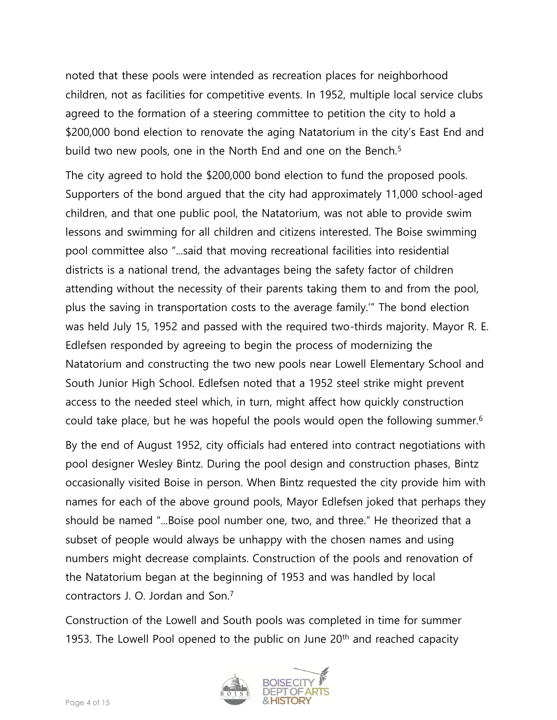noted that these pools were intended as recreation places for neighborhood children, not as facilities for competitive events. In 1952, multiple local service clubs agreed to the formation of a steering committee to petition the city to hold a \$200,000 bond election to renovate the aging Natatorium in the city's East End and build two new pools, one in the North End and one on the Bench.<sup>5</sup>

The city agreed to hold the \$200,000 bond election to fund the proposed pools. Supporters of the bond argued that the city had approximately 11,000 school-aged children, and that one public pool, the Natatorium, was not able to provide swim lessons and swimming for all children and citizens interested. The Boise swimming pool committee also "...said that moving recreational facilities into residential districts is a national trend, the advantages being the safety factor of children attending without the necessity of their parents taking them to and from the pool, plus the saving in transportation costs to the average family.'" The bond election was held July 15, 1952 and passed with the required two-thirds majority. Mayor R. E. Edlefsen responded by agreeing to begin the process of modernizing the Natatorium and constructing the two new pools near Lowell Elementary School and South Junior High School. Edlefsen noted that a 1952 steel strike might prevent access to the needed steel which, in turn, might affect how quickly construction could take place, but he was hopeful the pools would open the following summer.<sup>6</sup>

By the end of August 1952, city officials had entered into contract negotiations with pool designer Wesley Bintz. During the pool design and construction phases, Bintz occasionally visited Boise in person. When Bintz requested the city provide him with names for each of the above ground pools, Mayor Edlefsen joked that perhaps they should be named "...Boise pool number one, two, and three." He theorized that a subset of people would always be unhappy with the chosen names and using numbers might decrease complaints. Construction of the pools and renovation of the Natatorium began at the beginning of 1953 and was handled by local contractors J. O. Jordan and Son.<sup>7</sup>

Construction of the Lowell and South pools was completed in time for summer 1953. The Lowell Pool opened to the public on June  $20<sup>th</sup>$  and reached capacity

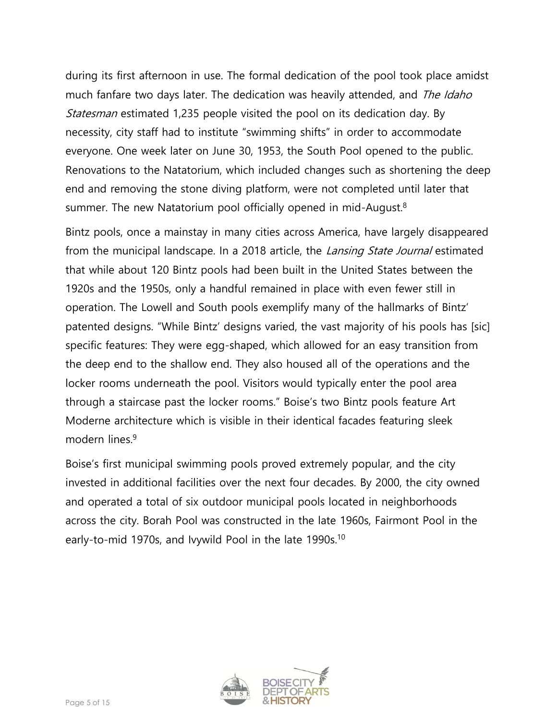during its first afternoon in use. The formal dedication of the pool took place amidst much fanfare two days later. The dedication was heavily attended, and *The Idaho* Statesman estimated 1,235 people visited the pool on its dedication day. By necessity, city staff had to institute "swimming shifts" in order to accommodate everyone. One week later on June 30, 1953, the South Pool opened to the public. Renovations to the Natatorium, which included changes such as shortening the deep end and removing the stone diving platform, were not completed until later that summer. The new Natatorium pool officially opened in mid-August.<sup>8</sup>

Bintz pools, once a mainstay in many cities across America, have largely disappeared from the municipal landscape. In a 2018 article, the *Lansing State Journal* estimated that while about 120 Bintz pools had been built in the United States between the 1920s and the 1950s, only a handful remained in place with even fewer still in operation. The Lowell and South pools exemplify many of the hallmarks of Bintz' patented designs. "While Bintz' designs varied, the vast majority of his pools has [sic] specific features: They were egg-shaped, which allowed for an easy transition from the deep end to the shallow end. They also housed all of the operations and the locker rooms underneath the pool. Visitors would typically enter the pool area through a staircase past the locker rooms." Boise's two Bintz pools feature Art Moderne architecture which is visible in their identical facades featuring sleek modern lines<sup>9</sup>

Boise's first municipal swimming pools proved extremely popular, and the city invested in additional facilities over the next four decades. By 2000, the city owned and operated a total of six outdoor municipal pools located in neighborhoods across the city. Borah Pool was constructed in the late 1960s, Fairmont Pool in the early-to-mid 1970s, and Ivywild Pool in the late 1990s.<sup>10</sup>

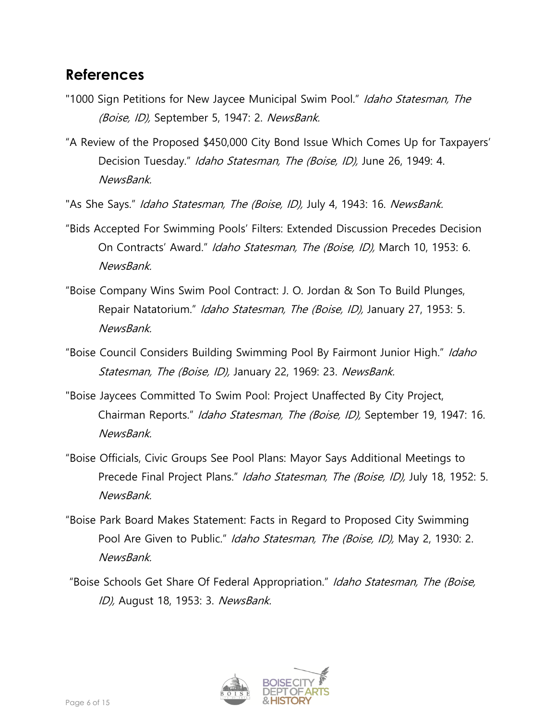## **References**

- "1000 Sign Petitions for New Jaycee Municipal Swim Pool." Idaho Statesman, The (Boise, ID), September 5, 1947: 2. NewsBank.
- "A Review of the Proposed \$450,000 City Bond Issue Which Comes Up for Taxpayers' Decision Tuesday." Idaho Statesman, The (Boise, ID), June 26, 1949: 4. NewsBank.
- "As She Says." Idaho Statesman, The (Boise, ID), July 4, 1943: 16. NewsBank.
- "Bids Accepted For Swimming Pools' Filters: Extended Discussion Precedes Decision On Contracts' Award." Idaho Statesman, The (Boise, ID), March 10, 1953: 6. NewsBank.
- "Boise Company Wins Swim Pool Contract: J. O. Jordan & Son To Build Plunges, Repair Natatorium." Idaho Statesman, The (Boise, ID), January 27, 1953: 5. NewsBank.
- "Boise Council Considers Building Swimming Pool By Fairmont Junior High." Idaho Statesman, The (Boise, ID), January 22, 1969: 23. NewsBank.
- "Boise Jaycees Committed To Swim Pool: Project Unaffected By City Project, Chairman Reports." Idaho Statesman, The (Boise, ID), September 19, 1947: 16. NewsBank.
- "Boise Officials, Civic Groups See Pool Plans: Mayor Says Additional Meetings to Precede Final Project Plans." Idaho Statesman, The (Boise, ID), July 18, 1952: 5. NewsBank.
- "Boise Park Board Makes Statement: Facts in Regard to Proposed City Swimming Pool Are Given to Public." Idaho Statesman, The (Boise, ID), May 2, 1930: 2. NewsBank.
- "Boise Schools Get Share Of Federal Appropriation." Idaho Statesman, The (Boise, ID), August 18, 1953: 3. NewsBank.

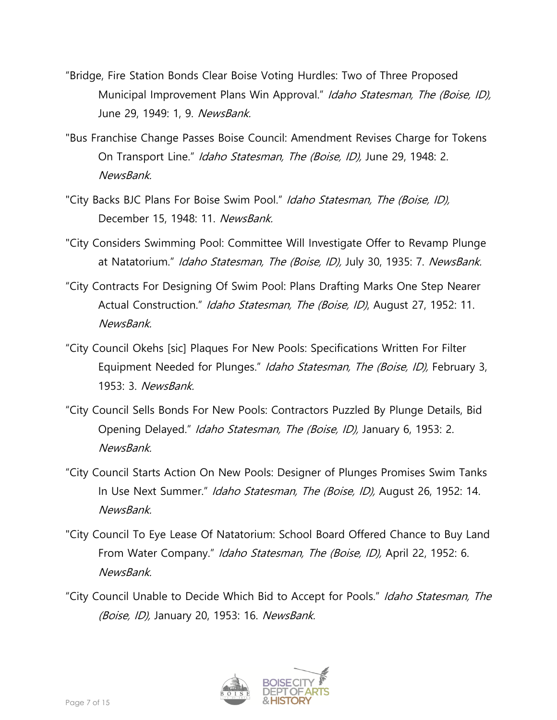- "Bridge, Fire Station Bonds Clear Boise Voting Hurdles: Two of Three Proposed Municipal Improvement Plans Win Approval." Idaho Statesman, The (Boise, ID), June 29, 1949: 1, 9. NewsBank.
- "Bus Franchise Change Passes Boise Council: Amendment Revises Charge for Tokens On Transport Line." Idaho Statesman, The (Boise, ID), June 29, 1948: 2. NewsBank.
- "City Backs BJC Plans For Boise Swim Pool." Idaho Statesman, The (Boise, ID), December 15, 1948: 11. NewsBank.
- "City Considers Swimming Pool: Committee Will Investigate Offer to Revamp Plunge at Natatorium." Idaho Statesman, The (Boise, ID), July 30, 1935: 7. NewsBank.
- "City Contracts For Designing Of Swim Pool: Plans Drafting Marks One Step Nearer Actual Construction." Idaho Statesman, The (Boise, ID), August 27, 1952: 11. NewsBank.
- "City Council Okehs [sic] Plaques For New Pools: Specifications Written For Filter Equipment Needed for Plunges." Idaho Statesman, The (Boise, ID), February 3, 1953: 3. NewsBank.
- "City Council Sells Bonds For New Pools: Contractors Puzzled By Plunge Details, Bid Opening Delayed." *Idaho Statesman, The (Boise, ID)*, January 6, 1953: 2. NewsBank.
- "City Council Starts Action On New Pools: Designer of Plunges Promises Swim Tanks In Use Next Summer." Idaho Statesman, The (Boise, ID), August 26, 1952: 14. NewsBank.
- "City Council To Eye Lease Of Natatorium: School Board Offered Chance to Buy Land From Water Company." Idaho Statesman, The (Boise, ID), April 22, 1952: 6. NewsBank.
- "City Council Unable to Decide Which Bid to Accept for Pools." Idaho Statesman, The (Boise, ID), January 20, 1953: 16. NewsBank.

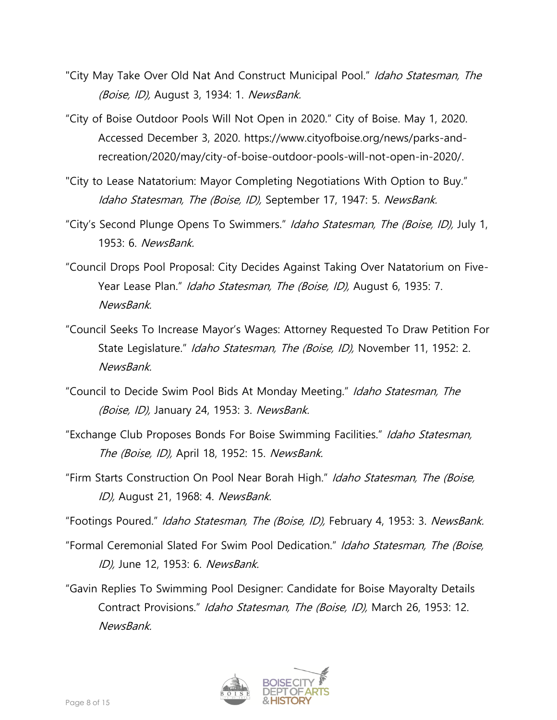- "City May Take Over Old Nat And Construct Municipal Pool." Idaho Statesman, The (Boise, ID), August 3, 1934: 1. NewsBank.
- "City of Boise Outdoor Pools Will Not Open in 2020." City of Boise. May 1, 2020. Accessed December 3, 2020. https://www.cityofboise.org/news/parks-andrecreation/2020/may/city-of-boise-outdoor-pools-will-not-open-in-2020/.
- "City to Lease Natatorium: Mayor Completing Negotiations With Option to Buy." Idaho Statesman, The (Boise, ID), September 17, 1947: 5. NewsBank.
- "City's Second Plunge Opens To Swimmers." Idaho Statesman, The (Boise, ID), July 1, 1953: 6. NewsBank.
- "Council Drops Pool Proposal: City Decides Against Taking Over Natatorium on Five-Year Lease Plan." Idaho Statesman, The (Boise, ID), August 6, 1935: 7. NewsBank.
- "Council Seeks To Increase Mayor's Wages: Attorney Requested To Draw Petition For State Legislature." Idaho Statesman, The (Boise, ID), November 11, 1952: 2. NewsBank.
- "Council to Decide Swim Pool Bids At Monday Meeting." Idaho Statesman, The (Boise, ID), January 24, 1953: 3. NewsBank.
- "Exchange Club Proposes Bonds For Boise Swimming Facilities." Idaho Statesman, The (Boise, ID), April 18, 1952: 15. NewsBank.
- "Firm Starts Construction On Pool Near Borah High." Idaho Statesman, The (Boise, ID), August 21, 1968: 4. NewsBank.
- "Footings Poured." Idaho Statesman, The (Boise, ID), February 4, 1953: 3. NewsBank.
- "Formal Ceremonial Slated For Swim Pool Dedication." Idaho Statesman, The (Boise, ID), June 12, 1953: 6. NewsBank.
- "Gavin Replies To Swimming Pool Designer: Candidate for Boise Mayoralty Details Contract Provisions." Idaho Statesman, The (Boise, ID), March 26, 1953: 12. NewsBank.

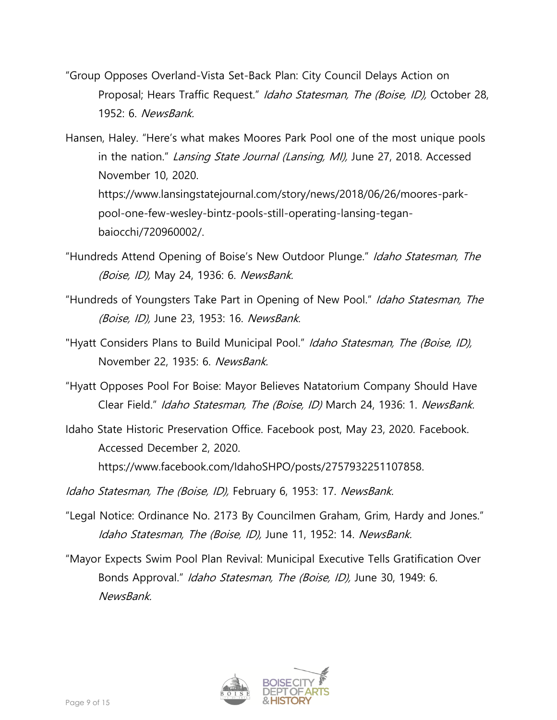- "Group Opposes Overland-Vista Set-Back Plan: City Council Delays Action on Proposal; Hears Traffic Request." Idaho Statesman, The (Boise, ID), October 28, 1952: 6. NewsBank.
- Hansen, Haley. "Here's what makes Moores Park Pool one of the most unique pools in the nation." Lansing State Journal (Lansing, MI), June 27, 2018. Accessed November 10, 2020. https://www.lansingstatejournal.com/story/news/2018/06/26/moores-parkpool-one-few-wesley-bintz-pools-still-operating-lansing-teganbaiocchi/720960002/.
- "Hundreds Attend Opening of Boise's New Outdoor Plunge." Idaho Statesman, The (Boise, ID), May 24, 1936: 6. NewsBank.
- "Hundreds of Youngsters Take Part in Opening of New Pool." Idaho Statesman, The (Boise, ID), June 23, 1953: 16. NewsBank.
- "Hyatt Considers Plans to Build Municipal Pool." Idaho Statesman, The (Boise, ID), November 22, 1935: 6. NewsBank.
- "Hyatt Opposes Pool For Boise: Mayor Believes Natatorium Company Should Have Clear Field." Idaho Statesman, The (Boise, ID) March 24, 1936: 1. NewsBank.
- Idaho State Historic Preservation Office. Facebook post, May 23, 2020. Facebook. Accessed December 2, 2020. https://www.facebook.com/IdahoSHPO/posts/2757932251107858.
- Idaho Statesman, The (Boise, ID), February 6, 1953: 17. NewsBank.
- "Legal Notice: Ordinance No. 2173 By Councilmen Graham, Grim, Hardy and Jones." Idaho Statesman, The (Boise, ID), June 11, 1952: 14. NewsBank.
- "Mayor Expects Swim Pool Plan Revival: Municipal Executive Tells Gratification Over Bonds Approval." *Idaho Statesman, The (Boise, ID)*, June 30, 1949: 6. NewsBank.

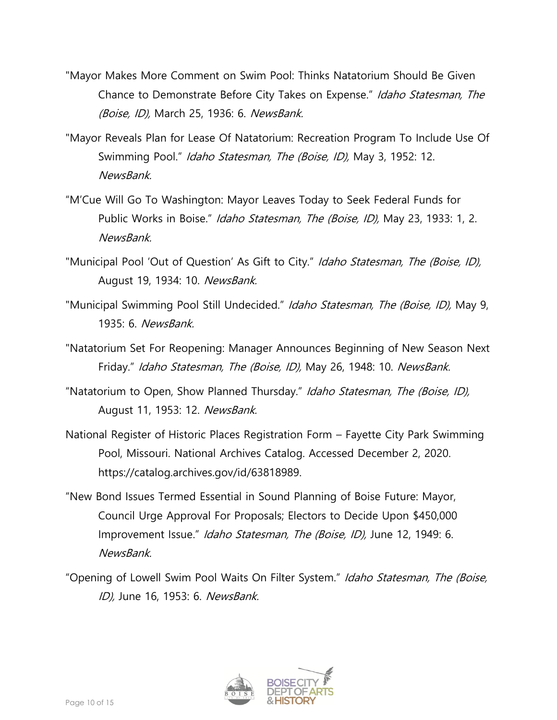- "Mayor Makes More Comment on Swim Pool: Thinks Natatorium Should Be Given Chance to Demonstrate Before City Takes on Expense." Idaho Statesman, The (Boise, ID), March 25, 1936: 6. NewsBank.
- "Mayor Reveals Plan for Lease Of Natatorium: Recreation Program To Include Use Of Swimming Pool." Idaho Statesman, The (Boise, ID), May 3, 1952: 12. NewsBank.
- "M'Cue Will Go To Washington: Mayor Leaves Today to Seek Federal Funds for Public Works in Boise." *Idaho Statesman, The (Boise, ID)*, May 23, 1933: 1, 2. NewsBank.
- "Municipal Pool 'Out of Question' As Gift to City." Idaho Statesman, The (Boise, ID), August 19, 1934: 10. NewsBank.
- "Municipal Swimming Pool Still Undecided." Idaho Statesman, The (Boise, ID), May 9, 1935: 6. NewsBank.
- "Natatorium Set For Reopening: Manager Announces Beginning of New Season Next Friday." Idaho Statesman, The (Boise, ID), May 26, 1948: 10. NewsBank.
- "Natatorium to Open, Show Planned Thursday." Idaho Statesman, The (Boise, ID), August 11, 1953: 12. NewsBank.
- National Register of Historic Places Registration Form Fayette City Park Swimming Pool, Missouri. National Archives Catalog. Accessed December 2, 2020. https://catalog.archives.gov/id/63818989.
- "New Bond Issues Termed Essential in Sound Planning of Boise Future: Mayor, Council Urge Approval For Proposals; Electors to Decide Upon \$450,000 Improvement Issue." Idaho Statesman, The (Boise, ID), June 12, 1949: 6. NewsBank.
- "Opening of Lowell Swim Pool Waits On Filter System." Idaho Statesman, The (Boise, ID), June 16, 1953: 6. NewsBank.

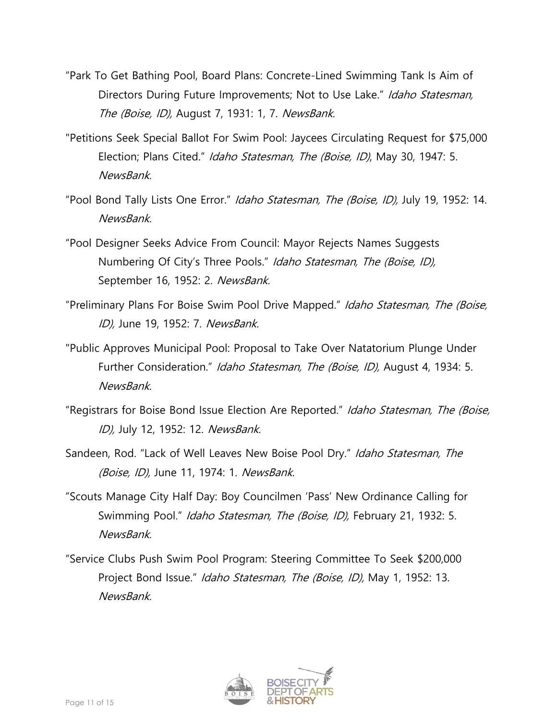- "Park To Get Bathing Pool, Board Plans: Concrete-Lined Swimming Tank Is Aim of Directors During Future Improvements; Not to Use Lake." Idaho Statesman, The (Boise, ID), August 7, 1931: 1, 7. NewsBank.
- "Petitions Seek Special Ballot For Swim Pool: Jaycees Circulating Request for \$75,000 Election; Plans Cited." Idaho Statesman, The (Boise, ID), May 30, 1947: 5. NewsBank.
- "Pool Bond Tally Lists One Error." Idaho Statesman, The (Boise, ID), July 19, 1952: 14. **NewsBank**
- "Pool Designer Seeks Advice From Council: Mayor Rejects Names Suggests Numbering Of City's Three Pools." Idaho Statesman, The (Boise, ID), September 16, 1952: 2. NewsBank.
- "Preliminary Plans For Boise Swim Pool Drive Mapped." Idaho Statesman, The (Boise, ID), June 19, 1952: 7. NewsBank.
- "Public Approves Municipal Pool: Proposal to Take Over Natatorium Plunge Under Further Consideration." Idaho Statesman, The (Boise, ID), August 4, 1934: 5. NewsBank.
- "Registrars for Boise Bond Issue Election Are Reported." Idaho Statesman, The (Boise, ID), July 12, 1952: 12. NewsBank.
- Sandeen, Rod. "Lack of Well Leaves New Boise Pool Dry." Idaho Statesman, The (Boise, ID), June 11, 1974: 1. NewsBank.
- "Scouts Manage City Half Day: Boy Councilmen 'Pass' New Ordinance Calling for Swimming Pool." Idaho Statesman, The (Boise, ID), February 21, 1932: 5. NewsBank.
- "Service Clubs Push Swim Pool Program: Steering Committee To Seek \$200,000 Project Bond Issue." Idaho Statesman, The (Boise, ID), May 1, 1952: 13. NewsBank.

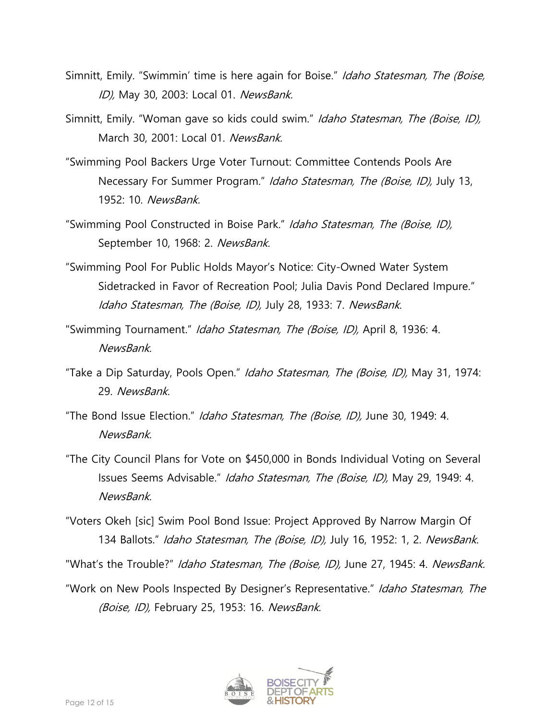- Simnitt, Emily. "Swimmin' time is here again for Boise." Idaho Statesman, The (Boise, ID), May 30, 2003: Local 01. NewsBank.
- Simnitt, Emily. "Woman gave so kids could swim." Idaho Statesman, The (Boise, ID), March 30, 2001: Local 01. NewsBank.
- "Swimming Pool Backers Urge Voter Turnout: Committee Contends Pools Are Necessary For Summer Program." Idaho Statesman, The (Boise, ID), July 13, 1952: 10. NewsBank.
- "Swimming Pool Constructed in Boise Park." Idaho Statesman, The (Boise, ID), September 10, 1968: 2. NewsBank.
- "Swimming Pool For Public Holds Mayor's Notice: City-Owned Water System Sidetracked in Favor of Recreation Pool; Julia Davis Pond Declared Impure." Idaho Statesman, The (Boise, ID), July 28, 1933: 7. NewsBank.
- "Swimming Tournament." Idaho Statesman, The (Boise, ID), April 8, 1936: 4. **NewsBank**
- "Take a Dip Saturday, Pools Open." Idaho Statesman, The (Boise, ID), May 31, 1974: 29. NewsBank.
- "The Bond Issue Election." Idaho Statesman, The (Boise, ID), June 30, 1949: 4. NewsBank.
- "The City Council Plans for Vote on \$450,000 in Bonds Individual Voting on Several Issues Seems Advisable." Idaho Statesman, The (Boise, ID), May 29, 1949: 4. NewsBank.
- "Voters Okeh [sic] Swim Pool Bond Issue: Project Approved By Narrow Margin Of 134 Ballots." Idaho Statesman, The (Boise, ID), July 16, 1952: 1, 2. NewsBank.

"What's the Trouble?" Idaho Statesman, The (Boise, ID), June 27, 1945: 4. NewsBank.

"Work on New Pools Inspected By Designer's Representative." Idaho Statesman, The (Boise, ID), February 25, 1953: 16. NewsBank.

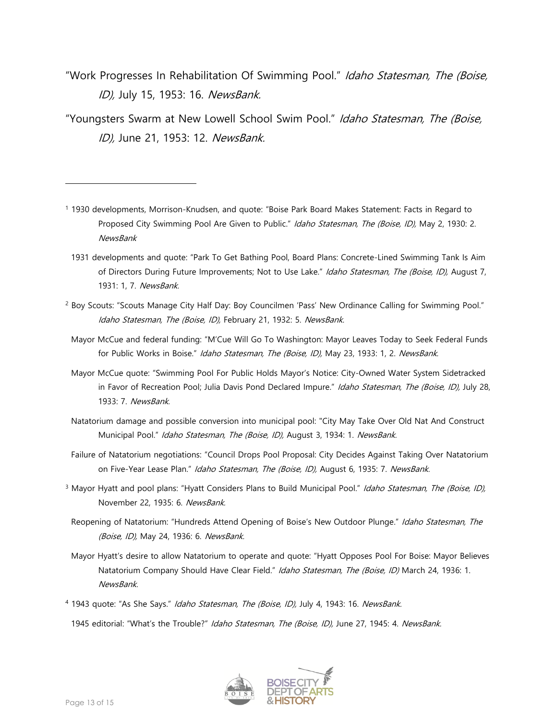"Work Progresses In Rehabilitation Of Swimming Pool." Idaho Statesman, The (Boise, ID), July 15, 1953: 16. NewsBank.

"Youngsters Swarm at New Lowell School Swim Pool." Idaho Statesman, The (Boise, ID), June 21, 1953: 12. NewsBank.

- <sup>1</sup> 1930 developments, Morrison-Knudsen, and quote: "Boise Park Board Makes Statement: Facts in Regard to Proposed City Swimming Pool Are Given to Public." Idaho Statesman, The (Boise, ID), May 2, 1930: 2. **NewsBank** 
	- 1931 developments and quote: "Park To Get Bathing Pool, Board Plans: Concrete-Lined Swimming Tank Is Aim of Directors During Future Improvements; Not to Use Lake." Idaho Statesman, The (Boise, ID), August 7, 1931: 1, 7. NewsBank.
- <sup>2</sup> Boy Scouts: "Scouts Manage City Half Day: Boy Councilmen 'Pass' New Ordinance Calling for Swimming Pool." Idaho Statesman, The (Boise, ID), February 21, 1932: 5. NewsBank.
- Mayor McCue and federal funding: "M'Cue Will Go To Washington: Mayor Leaves Today to Seek Federal Funds for Public Works in Boise." Idaho Statesman, The (Boise, ID), May 23, 1933: 1, 2. NewsBank.
- Mayor McCue quote: "Swimming Pool For Public Holds Mayor's Notice: City-Owned Water System Sidetracked in Favor of Recreation Pool; Julia Davis Pond Declared Impure." Idaho Statesman, The (Boise, ID), July 28, 1933: 7. NewsBank.
- Natatorium damage and possible conversion into municipal pool: "City May Take Over Old Nat And Construct Municipal Pool." Idaho Statesman, The (Boise, ID), August 3, 1934: 1. NewsBank.
- Failure of Natatorium negotiations: "Council Drops Pool Proposal: City Decides Against Taking Over Natatorium on Five-Year Lease Plan." Idaho Statesman, The (Boise, ID), August 6, 1935: 7. NewsBank.
- <sup>3</sup> Mayor Hyatt and pool plans: "Hyatt Considers Plans to Build Municipal Pool." Idaho Statesman, The (Boise, ID), November 22, 1935: 6. NewsBank.
	- Reopening of Natatorium: "Hundreds Attend Opening of Boise's New Outdoor Plunge." Idaho Statesman, The (Boise, ID), May 24, 1936: 6. NewsBank.
- Mayor Hyatt's desire to allow Natatorium to operate and quote: "Hyatt Opposes Pool For Boise: Mayor Believes Natatorium Company Should Have Clear Field." Idaho Statesman, The (Boise, ID) March 24, 1936: 1. NewsBank.
- <sup>4</sup> 1943 quote: "As She Says." Idaho Statesman, The (Boise, ID), July 4, 1943: 16. NewsBank. 1945 editorial: "What's the Trouble?" Idaho Statesman, The (Boise, ID), June 27, 1945: 4. NewsBank.

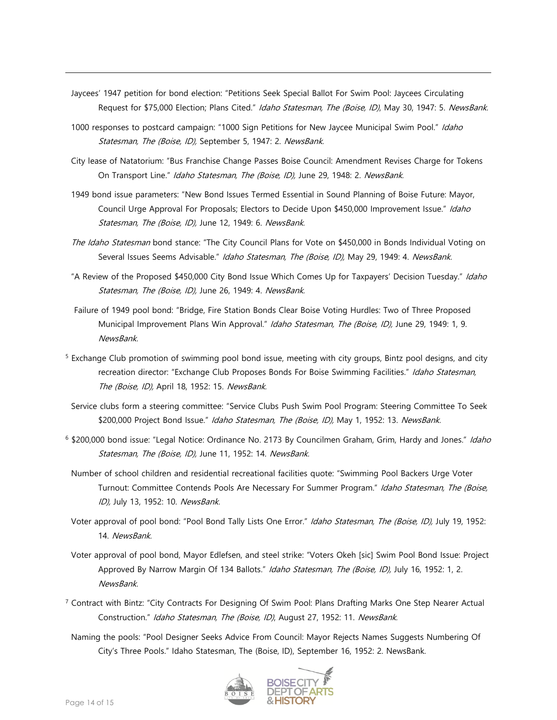- Jaycees' 1947 petition for bond election: "Petitions Seek Special Ballot For Swim Pool: Jaycees Circulating Request for \$75,000 Election; Plans Cited." Idaho Statesman, The (Boise, ID), May 30, 1947: 5. NewsBank.
- 1000 responses to postcard campaign: "1000 Sign Petitions for New Jaycee Municipal Swim Pool." Idaho Statesman, The (Boise, ID), September 5, 1947: 2. NewsBank.
- City lease of Natatorium: "Bus Franchise Change Passes Boise Council: Amendment Revises Charge for Tokens On Transport Line." Idaho Statesman, The (Boise, ID), June 29, 1948: 2. NewsBank.
- 1949 bond issue parameters: "New Bond Issues Termed Essential in Sound Planning of Boise Future: Mayor, Council Urge Approval For Proposals; Electors to Decide Upon \$450,000 Improvement Issue." Idaho Statesman, The (Boise, ID), June 12, 1949: 6. NewsBank.
- The Idaho Statesman bond stance: "The City Council Plans for Vote on \$450,000 in Bonds Individual Voting on Several Issues Seems Advisable." Idaho Statesman, The (Boise, ID), May 29, 1949: 4. NewsBank.
- "A Review of the Proposed \$450,000 City Bond Issue Which Comes Up for Taxpayers' Decision Tuesday." Idaho Statesman, The (Boise, ID), June 26, 1949: 4. NewsBank.
- Failure of 1949 pool bond: "Bridge, Fire Station Bonds Clear Boise Voting Hurdles: Two of Three Proposed Municipal Improvement Plans Win Approval." Idaho Statesman, The (Boise, ID), June 29, 1949: 1, 9. NewsBank.
- <sup>5</sup> Exchange Club promotion of swimming pool bond issue, meeting with city groups, Bintz pool designs, and city recreation director: "Exchange Club Proposes Bonds For Boise Swimming Facilities." Idaho Statesman, The (Boise, ID), April 18, 1952: 15. NewsBank.
- Service clubs form a steering committee: "Service Clubs Push Swim Pool Program: Steering Committee To Seek \$200,000 Project Bond Issue." Idaho Statesman, The (Boise, ID), May 1, 1952: 13. NewsBank.
- <sup>6</sup> \$200,000 bond issue: "Legal Notice: Ordinance No. 2173 By Councilmen Graham, Grim, Hardy and Jones." Idaho Statesman, The (Boise, ID), June 11, 1952: 14. NewsBank.
- Number of school children and residential recreational facilities quote: "Swimming Pool Backers Urge Voter Turnout: Committee Contends Pools Are Necessary For Summer Program." Idaho Statesman, The (Boise, ID), July 13, 1952: 10. NewsBank.
- Voter approval of pool bond: "Pool Bond Tally Lists One Error." Idaho Statesman, The (Boise, ID), July 19, 1952: 14. NewsBank.
- Voter approval of pool bond, Mayor Edlefsen, and steel strike: "Voters Okeh [sic] Swim Pool Bond Issue: Project Approved By Narrow Margin Of 134 Ballots." Idaho Statesman, The (Boise, ID), July 16, 1952: 1, 2. NewsBank.
- <sup>7</sup> Contract with Bintz: "City Contracts For Designing Of Swim Pool: Plans Drafting Marks One Step Nearer Actual Construction." Idaho Statesman, The (Boise, ID), August 27, 1952: 11. NewsBank.
- Naming the pools: "Pool Designer Seeks Advice From Council: Mayor Rejects Names Suggests Numbering Of City's Three Pools." Idaho Statesman, The (Boise, ID), September 16, 1952: 2. NewsBank.